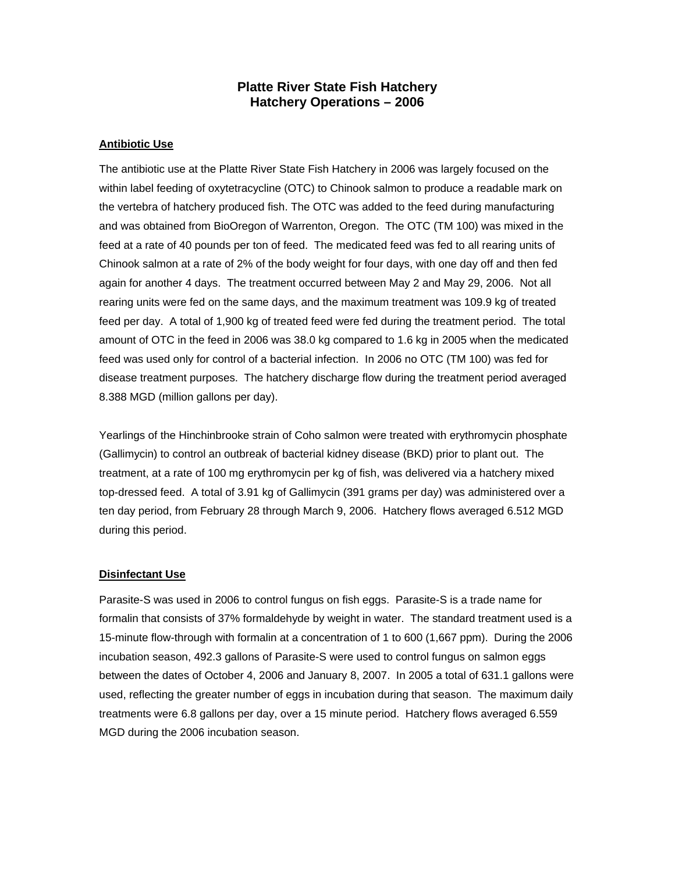## **Platte River State Fish Hatchery Hatchery Operations – 2006**

## **Antibiotic Use**

The antibiotic use at the Platte River State Fish Hatchery in 2006 was largely focused on the within label feeding of oxytetracycline (OTC) to Chinook salmon to produce a readable mark on the vertebra of hatchery produced fish. The OTC was added to the feed during manufacturing and was obtained from BioOregon of Warrenton, Oregon. The OTC (TM 100) was mixed in the feed at a rate of 40 pounds per ton of feed. The medicated feed was fed to all rearing units of Chinook salmon at a rate of 2% of the body weight for four days, with one day off and then fed again for another 4 days. The treatment occurred between May 2 and May 29, 2006. Not all rearing units were fed on the same days, and the maximum treatment was 109.9 kg of treated feed per day. A total of 1,900 kg of treated feed were fed during the treatment period. The total amount of OTC in the feed in 2006 was 38.0 kg compared to 1.6 kg in 2005 when the medicated feed was used only for control of a bacterial infection. In 2006 no OTC (TM 100) was fed for disease treatment purposes. The hatchery discharge flow during the treatment period averaged 8.388 MGD (million gallons per day).

Yearlings of the Hinchinbrooke strain of Coho salmon were treated with erythromycin phosphate (Gallimycin) to control an outbreak of bacterial kidney disease (BKD) prior to plant out. The treatment, at a rate of 100 mg erythromycin per kg of fish, was delivered via a hatchery mixed top-dressed feed. A total of 3.91 kg of Gallimycin (391 grams per day) was administered over a ten day period, from February 28 through March 9, 2006. Hatchery flows averaged 6.512 MGD during this period.

## **Disinfectant Use**

Parasite-S was used in 2006 to control fungus on fish eggs. Parasite-S is a trade name for formalin that consists of 37% formaldehyde by weight in water. The standard treatment used is a 15-minute flow-through with formalin at a concentration of 1 to 600 (1,667 ppm). During the 2006 incubation season, 492.3 gallons of Parasite-S were used to control fungus on salmon eggs between the dates of October 4, 2006 and January 8, 2007. In 2005 a total of 631.1 gallons were used, reflecting the greater number of eggs in incubation during that season. The maximum daily treatments were 6.8 gallons per day, over a 15 minute period. Hatchery flows averaged 6.559 MGD during the 2006 incubation season.